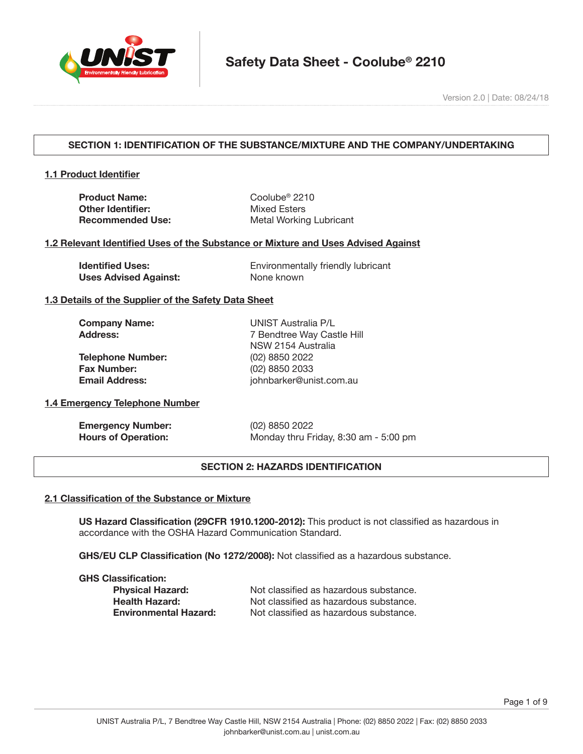

Version 2.0 | Date: 08/24/18

# **SECTION 1: IDENTIFICATION OF THE SUBSTANCE/MIXTURE AND THE COMPANY/UNDERTAKING**

## **1.1 Product Identifier**

**Product Name:** Coolube<sup>®</sup> 2210 **Other Identifier:** Mixed Esters

**Recommended Use:** Metal Working Lubricant

### **1.2 Relevant Identified Uses of the Substance or Mixture and Uses Advised Against**

**Uses Advised Against:** None known

**Identified Uses:** Environmentally friendly lubricant

### **1.3 Details of the Supplier of the Safety Data Sheet**

| <b>Company Name:</b>     | UNIST Australia P/L        |
|--------------------------|----------------------------|
| <b>Address:</b>          | 7 Bendtree Way Castle Hill |
|                          | NSW 2154 Australia         |
| <b>Telephone Number:</b> | (02) 8850 2022             |
| <b>Fax Number:</b>       | (02) 8850 2033             |
| <b>Email Address:</b>    | johnbarker@unist.com.au    |

# **1.4 Emergency Telephone Number**

| <b>Emergency Number:</b>   |  |
|----------------------------|--|
| <b>Hours of Operation:</b> |  |

**Emergency Number:** (02) 8850 2022 Monday thru Friday, 8:30 am - 5:00 pm

## **SECTION 2: HAZARDS IDENTIFICATION**

#### **2.1 Classification of the Substance or Mixture**

**US Hazard Classification (29CFR 1910.1200-2012):** This product is not classified as hazardous in accordance with the OSHA Hazard Communication Standard.

**GHS/EU CLP Classification (No 1272/2008):** Not classified as a hazardous substance.

**GHS Classification:**

**Physical Hazard:** Not classified as hazardous substance. **Health Hazard:** Not classified as hazardous substance. **Environmental Hazard:** Not classified as hazardous substance.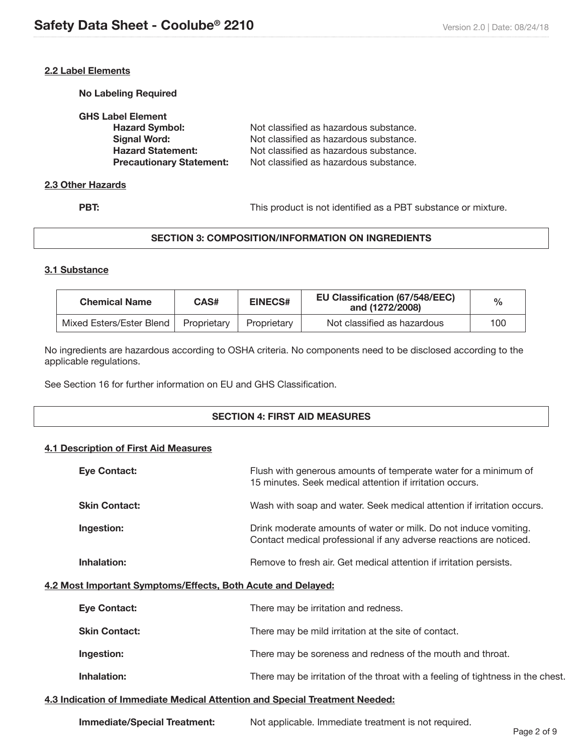## **2.2 Label Elements**

**No Labeling Required**

| <b>GHS Label Element</b>        |                                        |
|---------------------------------|----------------------------------------|
| <b>Hazard Symbol:</b>           | Not classified as hazardous substance. |
| Signal Word:                    | Not classified as hazardous substance. |
| <b>Hazard Statement:</b>        | Not classified as hazardous substance. |
| <b>Precautionary Statement:</b> | Not classified as hazardous substance. |
|                                 |                                        |

#### **2.3 Other Hazards**

**PBT:** This product is not identified as a PBT substance or mixture.

# **SECTION 3: COMPOSITION/INFORMATION ON INGREDIENTS**

### **3.1 Substance**

| <b>Chemical Name</b>     | CAS#        | <b>EINECS#</b> | <b>EU Classification (67/548/EEC)</b><br>and (1272/2008) | $\frac{0}{0}$ |
|--------------------------|-------------|----------------|----------------------------------------------------------|---------------|
| Mixed Esters/Ester Blend | Proprietary | Proprietary    | Not classified as hazardous                              | 100           |

No ingredients are hazardous according to OSHA criteria. No components need to be disclosed according to the applicable regulations.

See Section 16 for further information on EU and GHS Classification.

### **SECTION 4: FIRST AID MEASURES**

### **4.1 Description of First Aid Measures**

|                                                              | <b>Eye Contact:</b>  | Flush with generous amounts of temperate water for a minimum of<br>15 minutes. Seek medical attention if irritation occurs.            |
|--------------------------------------------------------------|----------------------|----------------------------------------------------------------------------------------------------------------------------------------|
|                                                              | <b>Skin Contact:</b> | Wash with soap and water. Seek medical attention if irritation occurs.                                                                 |
|                                                              | Ingestion:           | Drink moderate amounts of water or milk. Do not induce vomiting.<br>Contact medical professional if any adverse reactions are noticed. |
|                                                              | Inhalation:          | Remove to fresh air. Get medical attention if irritation persists.                                                                     |
| 4.2 Most Important Symptoms/Effects, Both Acute and Delayed: |                      |                                                                                                                                        |
|                                                              | <b>Eye Contact:</b>  | There may be irritation and redness.                                                                                                   |
|                                                              | <b>Skin Contact:</b> | There may be mild irritation at the site of contact.                                                                                   |
|                                                              | Ingestion:           | There may be soreness and redness of the mouth and throat.                                                                             |
|                                                              | Inhalation:          | There may be irritation of the throat with a feeling of tightness in the chest.                                                        |
|                                                              |                      |                                                                                                                                        |

### **4.3 Indication of Immediate Medical Attention and Special Treatment Needed:**

| <b>Immediate/Special Treatment:</b> | Not applicable. Immediate treatment is not required. |
|-------------------------------------|------------------------------------------------------|
|-------------------------------------|------------------------------------------------------|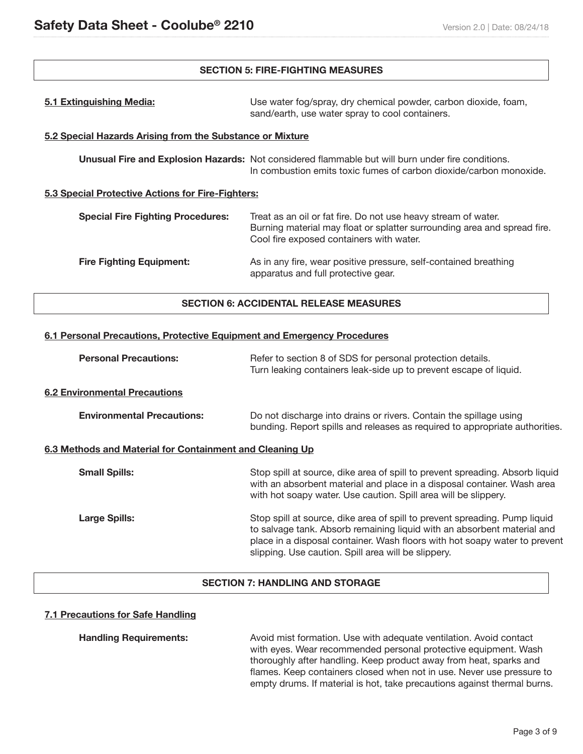## **SECTION 5: FIRE-FIGHTING MEASURES**

| 5.1 Extinguishing Media:                                                                                                                                                                                                           | Use water fog/spray, dry chemical powder, carbon dioxide, foam,<br>sand/earth, use water spray to cool containers.                                                      |  |
|------------------------------------------------------------------------------------------------------------------------------------------------------------------------------------------------------------------------------------|-------------------------------------------------------------------------------------------------------------------------------------------------------------------------|--|
| 5.2 Special Hazards Arising from the Substance or Mixture                                                                                                                                                                          |                                                                                                                                                                         |  |
|                                                                                                                                                                                                                                    | Unusual Fire and Explosion Hazards: Not considered flammable but will burn under fire conditions.<br>In combustion emits toxic fumes of carbon dioxide/carbon monoxide. |  |
| 5.3 Special Protective Actions for Fire-Fighters:                                                                                                                                                                                  |                                                                                                                                                                         |  |
| <b>Special Fire Fighting Procedures:</b><br>Treat as an oil or fat fire. Do not use heavy stream of water.<br>Burning material may float or splatter surrounding area and spread fire.<br>Cool fire exposed containers with water. |                                                                                                                                                                         |  |
| <b>Fire Fighting Equipment:</b>                                                                                                                                                                                                    | As in any fire, wear positive pressure, self-contained breathing<br>apparatus and full protective gear.                                                                 |  |
| <b>SECTION 6: ACCIDENTAL RELEASE MEASURES</b>                                                                                                                                                                                      |                                                                                                                                                                         |  |

## **6.1 Personal Precautions, Protective Equipment and Emergency Procedures**

| <b>Personal Precautions:</b>                             | Refer to section 8 of SDS for personal protection details.<br>Turn leaking containers leak-side up to prevent escape of liquid.                                                                                                                                                            |  |  |
|----------------------------------------------------------|--------------------------------------------------------------------------------------------------------------------------------------------------------------------------------------------------------------------------------------------------------------------------------------------|--|--|
| <b>6.2 Environmental Precautions</b>                     |                                                                                                                                                                                                                                                                                            |  |  |
| <b>Environmental Precautions:</b>                        | Do not discharge into drains or rivers. Contain the spillage using<br>bunding. Report spills and releases as required to appropriate authorities.                                                                                                                                          |  |  |
| 6.3 Methods and Material for Containment and Cleaning Up |                                                                                                                                                                                                                                                                                            |  |  |
| <b>Small Spills:</b>                                     | Stop spill at source, dike area of spill to prevent spreading. Absorb liquid<br>with an absorbent material and place in a disposal container. Wash area<br>with hot soapy water. Use caution. Spill area will be slippery.                                                                 |  |  |
| <b>Large Spills:</b>                                     | Stop spill at source, dike area of spill to prevent spreading. Pump liquid<br>to salvage tank. Absorb remaining liquid with an absorbent material and<br>place in a disposal container. Wash floors with hot soapy water to prevent<br>slipping. Use caution. Spill area will be slippery. |  |  |

# **SECTION 7: HANDLING AND STORAGE**

# **7.1 Precautions for Safe Handling**

**Handling Requirements:** Avoid mist formation. Use with adequate ventilation. Avoid contact with eyes. Wear recommended personal protective equipment. Wash thoroughly after handling. Keep product away from heat, sparks and flames. Keep containers closed when not in use. Never use pressure to empty drums. If material is hot, take precautions against thermal burns.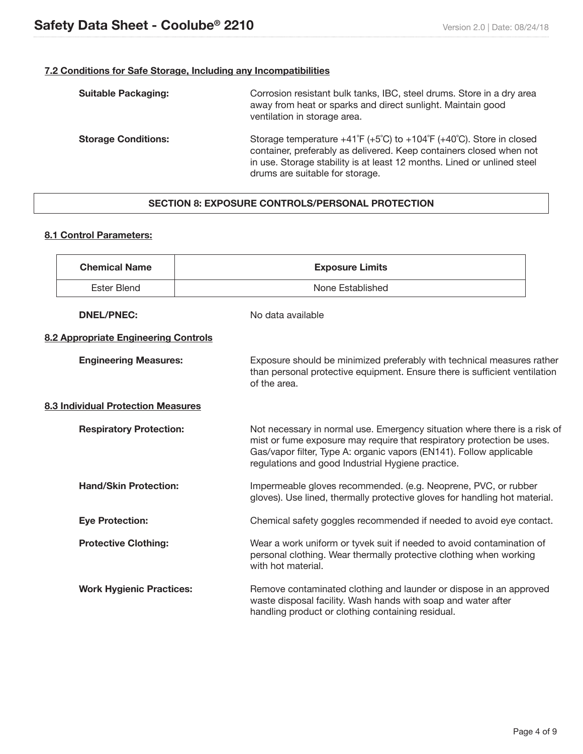# **7.2 Conditions for Safe Storage, Including any Incompatibilities**

| <b>Suitable Packaging:</b> | Corrosion resistant bulk tanks, IBC, steel drums. Store in a dry area<br>away from heat or sparks and direct sunlight. Maintain good<br>ventilation in storage area.                                                                                                                      |
|----------------------------|-------------------------------------------------------------------------------------------------------------------------------------------------------------------------------------------------------------------------------------------------------------------------------------------|
| <b>Storage Conditions:</b> | Storage temperature $+41^{\circ}F (+5^{\circ}C)$ to $+104^{\circ}F (+40^{\circ}C)$ . Store in closed<br>container, preferably as delivered. Keep containers closed when not<br>in use. Storage stability is at least 12 months. Lined or unlined steel<br>drums are suitable for storage. |

# **SECTION 8: EXPOSURE CONTROLS/PERSONAL PROTECTION**

## **8.1 Control Parameters:**

Ī

|                                    | <b>Chemical Name</b>                 | <b>Exposure Limits</b>                                                                                                                                                                                                                                                          |  |  |
|------------------------------------|--------------------------------------|---------------------------------------------------------------------------------------------------------------------------------------------------------------------------------------------------------------------------------------------------------------------------------|--|--|
|                                    | <b>Ester Blend</b>                   | None Established                                                                                                                                                                                                                                                                |  |  |
|                                    | <b>DNEL/PNEC:</b>                    | No data available                                                                                                                                                                                                                                                               |  |  |
|                                    | 8.2 Appropriate Engineering Controls |                                                                                                                                                                                                                                                                                 |  |  |
|                                    | <b>Engineering Measures:</b>         | Exposure should be minimized preferably with technical measures rather<br>than personal protective equipment. Ensure there is sufficient ventilation<br>of the area.                                                                                                            |  |  |
| 8.3 Individual Protection Measures |                                      |                                                                                                                                                                                                                                                                                 |  |  |
|                                    | <b>Respiratory Protection:</b>       | Not necessary in normal use. Emergency situation where there is a risk of<br>mist or fume exposure may require that respiratory protection be uses.<br>Gas/vapor filter, Type A: organic vapors (EN141). Follow applicable<br>regulations and good Industrial Hygiene practice. |  |  |
|                                    | <b>Hand/Skin Protection:</b>         | Impermeable gloves recommended. (e.g. Neoprene, PVC, or rubber<br>gloves). Use lined, thermally protective gloves for handling hot material.                                                                                                                                    |  |  |
|                                    | <b>Eye Protection:</b>               | Chemical safety goggles recommended if needed to avoid eye contact.                                                                                                                                                                                                             |  |  |
|                                    | <b>Protective Clothing:</b>          | Wear a work uniform or tyvek suit if needed to avoid contamination of<br>personal clothing. Wear thermally protective clothing when working<br>with hot material.                                                                                                               |  |  |
|                                    | <b>Work Hygienic Practices:</b>      | Remove contaminated clothing and launder or dispose in an approved<br>waste disposal facility. Wash hands with soap and water after<br>handling product or clothing containing residual.                                                                                        |  |  |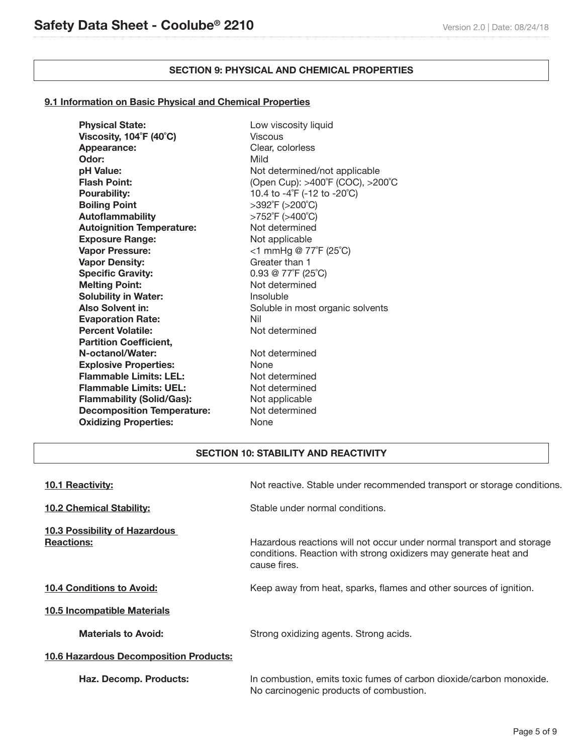j

# **SECTION 9: PHYSICAL AND CHEMICAL PROPERTIES**

## **9.1 Information on Basic Physical and Chemical Properties**

| <b>Physical State:</b>                 | Low viscosity liquid                    |
|----------------------------------------|-----------------------------------------|
| Viscosity, $104^{\circ}F(40^{\circ}C)$ | Viscous                                 |
| Appearance:                            | Clear, colorless                        |
| Odor:                                  | Mild                                    |
| pH Value:                              | Not determined/not applicable           |
| <b>Flash Point:</b>                    | (Open Cup): >400°F (COC), >200°C        |
| <b>Pourability:</b>                    | 10.4 to -4°F (-12 to -20°C)             |
| <b>Boiling Point</b>                   | >392°F (>200°C)                         |
| <b>Autoflammability</b>                | >752°F (>400°C)                         |
| <b>Autoignition Temperature:</b>       | Not determined                          |
| <b>Exposure Range:</b>                 | Not applicable                          |
| <b>Vapor Pressure:</b>                 | $<$ 1 mmHg @ 77°F (25°C)                |
| <b>Vapor Density:</b>                  | Greater than 1                          |
| <b>Specific Gravity:</b>               | $0.93 \otimes 77^{\circ}F(25^{\circ}C)$ |
| <b>Melting Point:</b>                  | Not determined                          |
| <b>Solubility in Water:</b>            | Insoluble                               |
| <b>Also Solvent in:</b>                | Soluble in most organic solvents        |
| <b>Evaporation Rate:</b>               | Nil                                     |
| <b>Percent Volatile:</b>               | Not determined                          |
| <b>Partition Coefficient,</b>          |                                         |
| N-octanol/Water:                       | Not determined                          |
| <b>Explosive Properties:</b>           | <b>None</b>                             |
| <b>Flammable Limits: LEL:</b>          | Not determined                          |
| <b>Flammable Limits: UEL:</b>          | Not determined                          |
| <b>Flammability (Solid/Gas):</b>       | Not applicable                          |
| <b>Decomposition Temperature:</b>      | Not determined                          |
| <b>Oxidizing Properties:</b>           | None                                    |
|                                        |                                         |

## **SECTION 10: STABILITY AND REACTIVITY**

| <b>10.1 Reactivity:</b>                                   | Not reactive. Stable under recommended transport or storage conditions.                                                                                   |
|-----------------------------------------------------------|-----------------------------------------------------------------------------------------------------------------------------------------------------------|
| <b>10.2 Chemical Stability:</b>                           | Stable under normal conditions.                                                                                                                           |
| <u>10.3 Possibility of Hazardous</u><br><b>Reactions:</b> | Hazardous reactions will not occur under normal transport and storage<br>conditions. Reaction with strong oxidizers may generate heat and<br>cause fires. |
| <b>10.4 Conditions to Avoid:</b>                          | Keep away from heat, sparks, flames and other sources of ignition.                                                                                        |
| 10.5 Incompatible Materials                               |                                                                                                                                                           |
| <b>Materials to Avoid:</b>                                | Strong oxidizing agents. Strong acids.                                                                                                                    |
| <b>10.6 Hazardous Decomposition Products:</b>             |                                                                                                                                                           |
| Haz. Decomp. Products:                                    | In combustion, emits toxic fumes of carbon dioxide/carbon monoxide.<br>No carcinogenic products of combustion.                                            |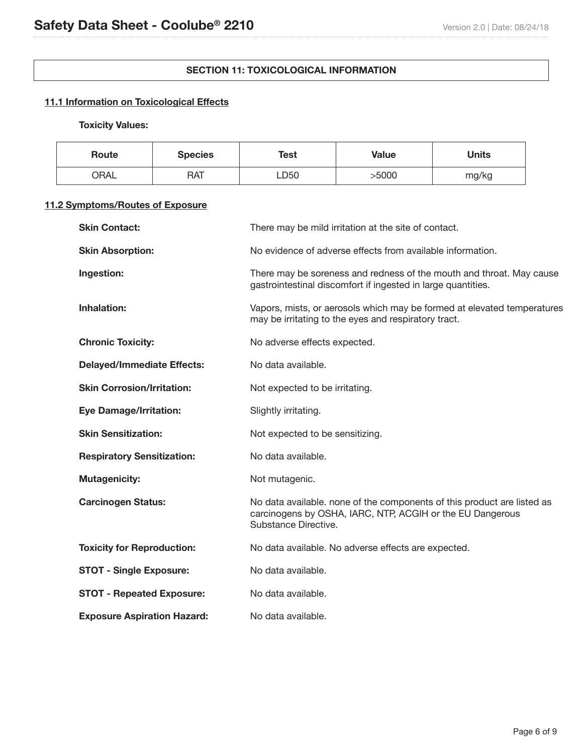## **SECTION 11: TOXICOLOGICAL INFORMATION**

# **11.1 Information on Toxicological Effects**

# **Toxicity Values:**

| Route | <b>Species</b> | Test | <b>Value</b> | Units |
|-------|----------------|------|--------------|-------|
| ORAL  | <b>RAT</b>     | LD50 | >5000        | mg/kg |

# **11.2 Symptoms/Routes of Exposure**

| <b>Skin Contact:</b>               | There may be mild irritation at the site of contact.                                                                                                         |
|------------------------------------|--------------------------------------------------------------------------------------------------------------------------------------------------------------|
| <b>Skin Absorption:</b>            | No evidence of adverse effects from available information.                                                                                                   |
| Ingestion:                         | There may be soreness and redness of the mouth and throat. May cause<br>gastrointestinal discomfort if ingested in large quantities.                         |
| <b>Inhalation:</b>                 | Vapors, mists, or aerosols which may be formed at elevated temperatures<br>may be irritating to the eyes and respiratory tract.                              |
| <b>Chronic Toxicity:</b>           | No adverse effects expected.                                                                                                                                 |
| <b>Delayed/Immediate Effects:</b>  | No data available.                                                                                                                                           |
| <b>Skin Corrosion/Irritation:</b>  | Not expected to be irritating.                                                                                                                               |
| <b>Eye Damage/Irritation:</b>      | Slightly irritating.                                                                                                                                         |
| <b>Skin Sensitization:</b>         | Not expected to be sensitizing.                                                                                                                              |
| <b>Respiratory Sensitization:</b>  | No data available.                                                                                                                                           |
| <b>Mutagenicity:</b>               | Not mutagenic.                                                                                                                                               |
| <b>Carcinogen Status:</b>          | No data available. none of the components of this product are listed as<br>carcinogens by OSHA, IARC, NTP, ACGIH or the EU Dangerous<br>Substance Directive. |
| <b>Toxicity for Reproduction:</b>  | No data available. No adverse effects are expected.                                                                                                          |
| <b>STOT - Single Exposure:</b>     | No data available.                                                                                                                                           |
| <b>STOT - Repeated Exposure:</b>   | No data available.                                                                                                                                           |
| <b>Exposure Aspiration Hazard:</b> | No data available.                                                                                                                                           |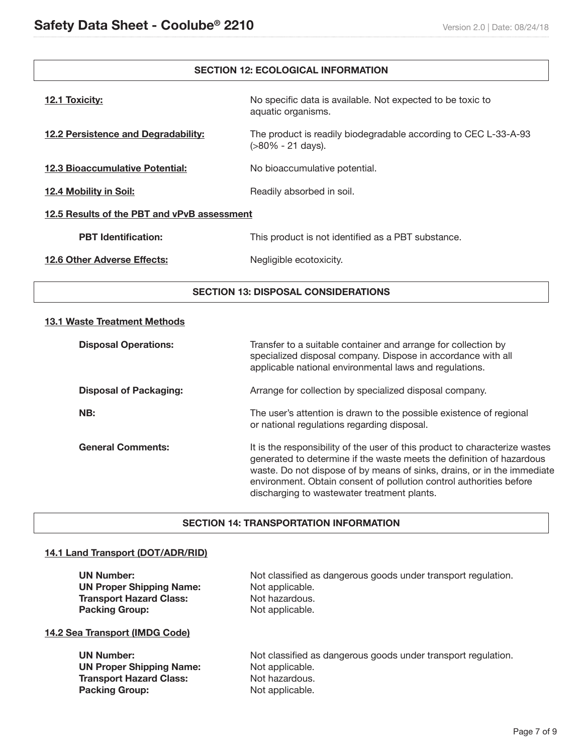## **SECTION 12: ECOLOGICAL INFORMATION**

| 12.1 Toxicity:                              | No specific data is available. Not expected to be toxic to<br>aquatic organisms.     |  |
|---------------------------------------------|--------------------------------------------------------------------------------------|--|
| 12.2 Persistence and Degradability:         | The product is readily biodegradable according to CEC L-33-A-93<br>(>80% - 21 days). |  |
| <b>12.3 Bioaccumulative Potential:</b>      | No bioaccumulative potential.                                                        |  |
| 12.4 Mobility in Soil:                      | Readily absorbed in soil.                                                            |  |
| 12.5 Results of the PBT and vPvB assessment |                                                                                      |  |
| <b>PBT</b> Identification:                  | This product is not identified as a PBT substance.                                   |  |
| <b>12.6 Other Adverse Effects:</b>          | Negligible ecotoxicity.                                                              |  |

## **SECTION 13: DISPOSAL CONSIDERATIONS**

### **13.1 Waste Treatment Methods**

| <b>Disposal Operations:</b>   | Transfer to a suitable container and arrange for collection by<br>specialized disposal company. Dispose in accordance with all<br>applicable national environmental laws and regulations.                                                                                                                                                             |
|-------------------------------|-------------------------------------------------------------------------------------------------------------------------------------------------------------------------------------------------------------------------------------------------------------------------------------------------------------------------------------------------------|
| <b>Disposal of Packaging:</b> | Arrange for collection by specialized disposal company.                                                                                                                                                                                                                                                                                               |
| NB:                           | The user's attention is drawn to the possible existence of regional<br>or national regulations regarding disposal.                                                                                                                                                                                                                                    |
| <b>General Comments:</b>      | It is the responsibility of the user of this product to characterize wastes<br>generated to determine if the waste meets the definition of hazardous<br>waste. Do not dispose of by means of sinks, drains, or in the immediate<br>environment. Obtain consent of pollution control authorities before<br>discharging to wastewater treatment plants. |

### **SECTION 14: TRANSPORTATION INFORMATION**

### **14.1 Land Transport (DOT/ADR/RID)**

UN Number: **Not classified as dangerous goods under transport regulation. UN Proper Shipping Name:** Not applicable. **Transport Hazard Class:** Not hazardous. **Packing Group:** Not applicable.

## **14.2 Sea Transport (IMDG Code)**

**UN Number: Not classified as dangerous goods under transport regulation. UN Proper Shipping Name:** Not applicable. **Transport Hazard Class:** Not hazardous. **Packing Group:** Not applicable.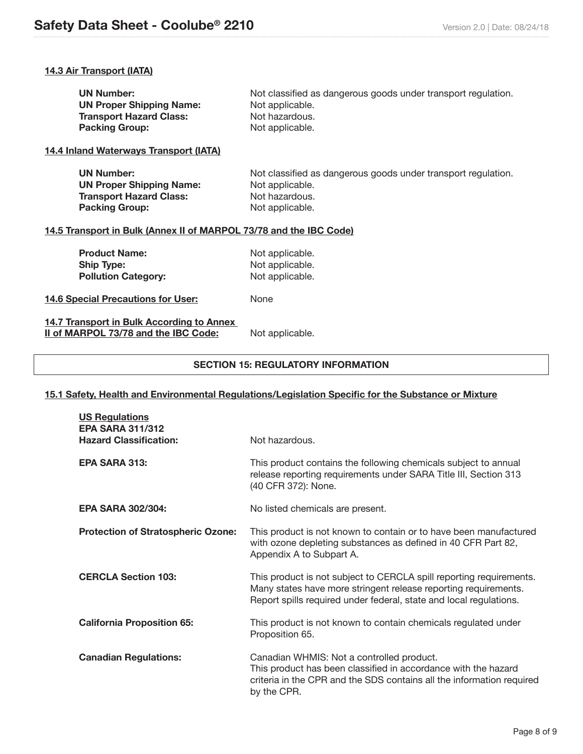# **14.3 Air Transport (IATA)**

| <b>UN Number:</b>               | Not classified as dangerous goods under transport regulation. |
|---------------------------------|---------------------------------------------------------------|
| <b>UN Proper Shipping Name:</b> | Not applicable.                                               |
| <b>Transport Hazard Class:</b>  | Not hazardous.                                                |
| <b>Packing Group:</b>           | Not applicable.                                               |

### **14.4 Inland Waterways Transport (IATA)**

| <b>UN Number:</b>               | Not classified as dangerous goods under transport regulation. |
|---------------------------------|---------------------------------------------------------------|
| <b>UN Proper Shipping Name:</b> | Not applicable.                                               |
| <b>Transport Hazard Class:</b>  | Not hazardous.                                                |
| <b>Packing Group:</b>           | Not applicable.                                               |

# **14.5 Transport in Bulk (Annex II of MARPOL 73/78 and the IBC Code)**

| <b>Product Name:</b>       | Not applicable. |
|----------------------------|-----------------|
| <b>Ship Type:</b>          | Not applicable. |
| <b>Pollution Category:</b> | Not applicable. |

### **14.6 Special Precautions for User:** None

## **14.7 Transport in Bulk According to Annex II of MARPOL 73/78 and the IBC Code:** Not applicable.

### **SECTION 15: REGULATORY INFORMATION**

### **15.1 Safety, Health and Environmental Regulations/Legislation Specific for the Substance or Mixture**

| <b>US Regulations</b><br><b>EPA SARA 311/312</b><br><b>Hazard Classification:</b> | Not hazardous.                                                                                                                                                                                               |
|-----------------------------------------------------------------------------------|--------------------------------------------------------------------------------------------------------------------------------------------------------------------------------------------------------------|
| <b>EPA SARA 313:</b>                                                              | This product contains the following chemicals subject to annual<br>release reporting requirements under SARA Title III, Section 313<br>(40 CFR 372): None.                                                   |
| <b>EPA SARA 302/304:</b>                                                          | No listed chemicals are present.                                                                                                                                                                             |
| <b>Protection of Stratospheric Ozone:</b>                                         | This product is not known to contain or to have been manufactured<br>with ozone depleting substances as defined in 40 CFR Part 82,<br>Appendix A to Subpart A.                                               |
| <b>CERCLA Section 103:</b>                                                        | This product is not subject to CERCLA spill reporting requirements.<br>Many states have more stringent release reporting requirements.<br>Report spills required under federal, state and local regulations. |
| <b>California Proposition 65:</b>                                                 | This product is not known to contain chemicals regulated under<br>Proposition 65.                                                                                                                            |
| <b>Canadian Regulations:</b>                                                      | Canadian WHMIS: Not a controlled product.<br>This product has been classified in accordance with the hazard<br>criteria in the CPR and the SDS contains all the information required<br>by the CPR.          |